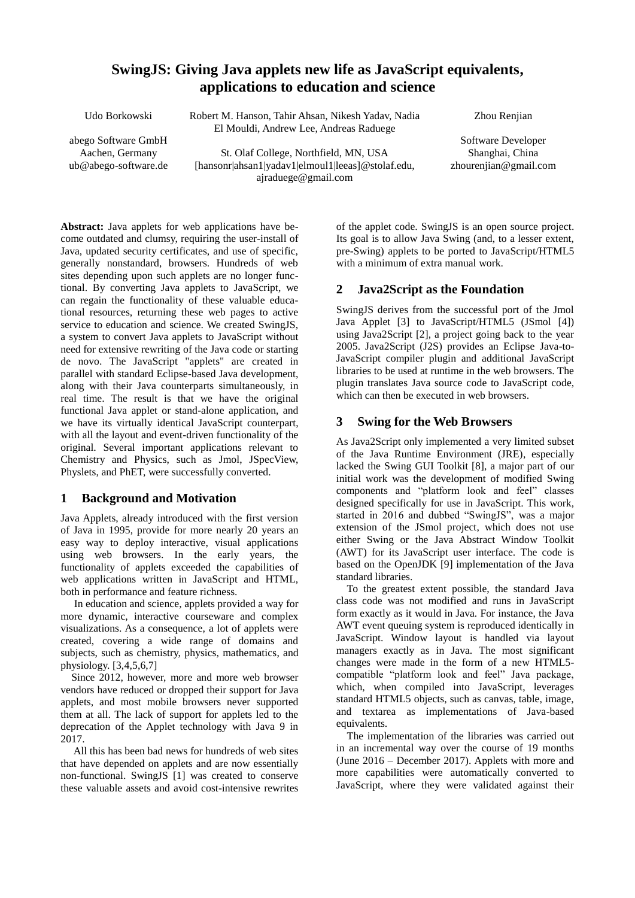# **SwingJS: Giving Java applets new life as JavaScript equivalents, applications to education and science**

Udo Borkowski

abego Software GmbH El Mouldi, Andrew Lee, Andreas Raduege

Aachen, Germany ub@abego-software.de

St. Olaf College, Northfield, MN, USA [hansonr|ahsan1|yadav1|elmoul1|leeas]@stolaf.edu, [ajraduege@gmail.com](mailto:ajraduege@gmail.com)

Robert M. Hanson, Tahir Ahsan, Nikesh Yadav, Nadia

Zhou Renjian

Software Developer Shanghai, China zhourenjian@gmail.com

**Abstract:** Java applets for web applications have become outdated and clumsy, requiring the user-install of Java, updated security certificates, and use of specific, generally nonstandard, browsers. Hundreds of web sites depending upon such applets are no longer functional. By converting Java applets to JavaScript, we can regain the functionality of these valuable educational resources, returning these web pages to active service to education and science. We created SwingJS, a system to convert Java applets to JavaScript without need for extensive rewriting of the Java code or starting de novo. The JavaScript "applets" are created in parallel with standard Eclipse-based Java development, along with their Java counterparts simultaneously, in real time. The result is that we have the original functional Java applet or stand-alone application, and we have its virtually identical JavaScript counterpart, with all the layout and event-driven functionality of the original. Several important applications relevant to Chemistry and Physics, such as Jmol, JSpecView, Physlets, and PhET, were successfully converted.

# **1 Background and Motivation**

Java Applets, already introduced with the first version of Java in 1995, provide for more nearly 20 years an easy way to deploy interactive, visual applications using web browsers. In the early years, the functionality of applets exceeded the capabilities of web applications written in JavaScript and HTML, both in performance and feature richness.

 In education and science, applets provided a way for more dynamic, interactive courseware and complex visualizations. As a consequence, a lot of applets were created, covering a wide range of domains and subjects, such as chemistry, physics, mathematics, and physiology. [3,4,5,6,7]

 Since 2012, however, more and more web browser vendors have reduced or dropped their support for Java applets, and most mobile browsers never supported them at all. The lack of support for applets led to the deprecation of the Applet technology with Java 9 in 2017.

 All this has been bad news for hundreds of web sites that have depended on applets and are now essentially non-functional. SwingJS [1] was created to conserve these valuable assets and avoid cost-intensive rewrites of the applet code. SwingJS is an open source project. Its goal is to allow Java Swing (and, to a lesser extent, pre-Swing) applets to be ported to JavaScript/HTML5 with a minimum of extra manual work.

# **2 Java2Script as the Foundation**

SwingJS derives from the successful port of the Jmol Java Applet [3] to JavaScript/HTML5 (JSmol [4]) using Java2Script [2], a project going back to the year 2005. Java2Script (J2S) provides an Eclipse Java-to-JavaScript compiler plugin and additional JavaScript libraries to be used at runtime in the web browsers. The plugin translates Java source code to JavaScript code, which can then be executed in web browsers.

# **3 Swing for the Web Browsers**

As Java2Script only implemented a very limited subset of the Java Runtime Environment (JRE), especially lacked the Swing GUI Toolkit [8], a major part of our initial work was the development of modified Swing components and "platform look and feel" classes designed specifically for use in JavaScript. This work, started in 2016 and dubbed "SwingJS", was a major extension of the JSmol project, which does not use either Swing or the Java Abstract Window Toolkit (AWT) for its JavaScript user interface. The code is based on the OpenJDK [9] implementation of the Java standard libraries.

 To the greatest extent possible, the standard Java class code was not modified and runs in JavaScript form exactly as it would in Java. For instance, the Java AWT event queuing system is reproduced identically in JavaScript. Window layout is handled via layout managers exactly as in Java. The most significant changes were made in the form of a new HTML5 compatible "platform look and feel" Java package, which, when compiled into JavaScript, leverages standard HTML5 objects, such as canvas, table, image, and textarea as implementations of Java-based equivalents.

 The implementation of the libraries was carried out in an incremental way over the course of 19 months (June 2016 – December 2017). Applets with more and more capabilities were automatically converted to JavaScript, where they were validated against their